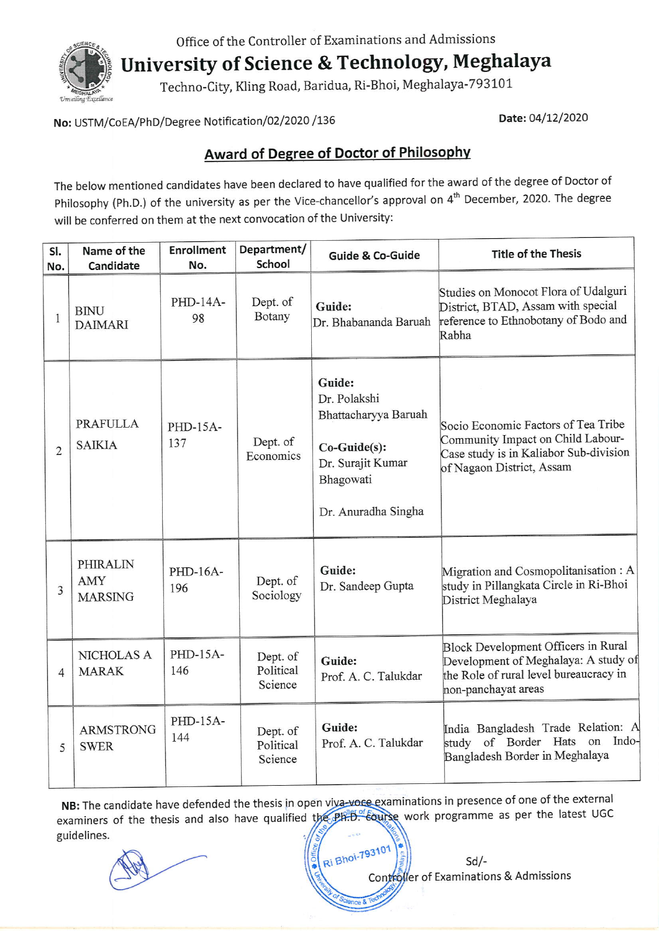

Office of the Controller of Examinations and Admissions<br>
University of Science & Technology, Meghalaya

Techno-City, Kling Road, Baridua, Ri-Bhoi, Meghalaya-793101

No: USTM/CoEA/PhD/Degree Notification/02/2020 /136 Date: 04/12/2020

## Award of Degree of Doctor of Philosophv

The below mentioned candidates have been declared to have qualified for the award of the degree of Doctor of philosophy (ph.D.) of the university as per the Vice-chancellor's approval on 4'h December, 2020. The degree will be conferred on them at the next convocation of the University:

| SI.<br>No.     | Name of the<br>Candidate                 | <b>Enrollment</b><br>No. | Department/<br>School            | <b>Guide &amp; Co-Guide</b>                                                                                             | <b>Title of the Thesis</b>                                                                                                                      |
|----------------|------------------------------------------|--------------------------|----------------------------------|-------------------------------------------------------------------------------------------------------------------------|-------------------------------------------------------------------------------------------------------------------------------------------------|
| $\mathbf{1}$   | <b>BINU</b><br><b>DAIMARI</b>            | PHD-14A-<br>98           | Dept. of<br>Botany               | Guide:<br>Dr. Bhabananda Baruah                                                                                         | Studies on Monocot Flora of Udalguri<br>District, BTAD, Assam with special<br>reference to Ethnobotany of Bodo and<br>Rabha                     |
| $\overline{2}$ | <b>PRAFULLA</b><br><b>SAIKIA</b>         | PHD-15A-<br>137          | Dept. of<br>Economics            | Guide:<br>Dr. Polakshi<br>Bhattacharyya Baruah<br>Co-Guide(s):<br>Dr. Surajit Kumar<br>Bhagowati<br>Dr. Anuradha Singha | Socio Economic Factors of Tea Tribe<br>Community Impact on Child Labour-<br>Case study is in Kaliabor Sub-division<br>of Nagaon District, Assam |
| 3              | <b>PHIRALIN</b><br>AMY<br><b>MARSING</b> | PHD-16A-<br>196          | Dept. of<br>Sociology            | Guide:<br>Dr. Sandeep Gupta                                                                                             | Migration and Cosmopolitanisation: A<br>study in Pillangkata Circle in Ri-Bhoi<br>District Meghalaya                                            |
| $\overline{4}$ | NICHOLAS A<br><b>MARAK</b>               | PHD-15A-<br>146          | Dept. of<br>Political<br>Science | Guide:<br>Prof. A. C. Talukdar                                                                                          | Block Development Officers in Rural<br>Development of Meghalaya: A study of<br>the Role of rural level bureaucracy in<br>non-panchayat areas    |
| 5              | <b>ARMSTRONG</b><br><b>SWER</b>          | PHD-15A-<br>144          | Dept. of<br>Political<br>Science | Guide:<br>Prof. A. C. Talukdar                                                                                          | India Bangladesh Trade Relation: A<br>study of Border Hats on Indo-<br>Bangladesh Border in Meghalaya                                           |

NB: The candidate have defended the thesis in open viva-voce examinations in presence of one of the external examiners of the thesis and also have qualified the PH.B. Equitse work programme as per the latest UGC guidelines.

sd/- Controller of Examinations & Admissions Ri Bhoi-793101